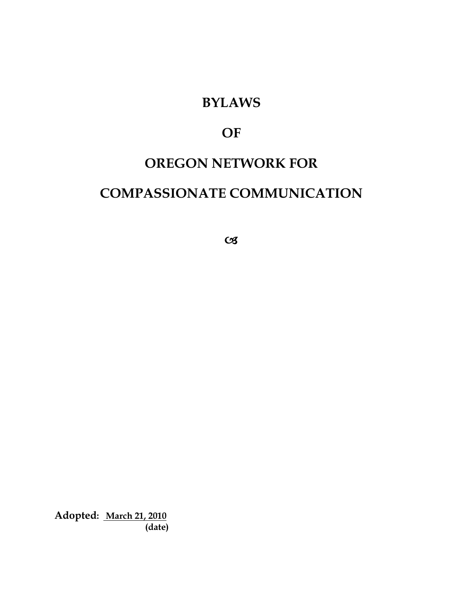# **BYLAWS**

# **OF**

# **OREGON NETWORK FOR**

# **COMPASSIONATE COMMUNICATION**

 $C<sub>3</sub>$ 

**Adopted: March 21, 2010 (date)**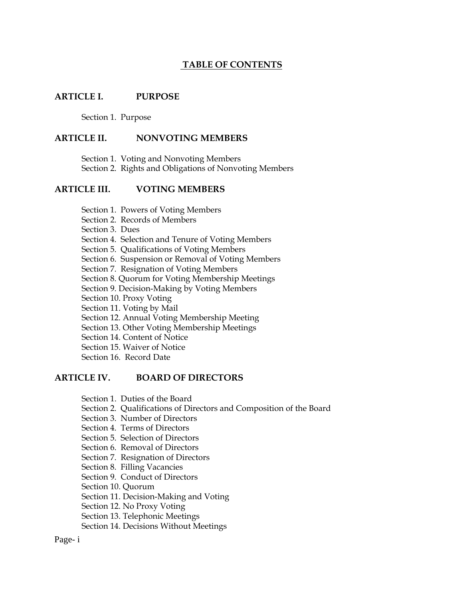## **TABLE OF CONTENTS**

#### **ARTICLE I. PURPOSE**

Section 1. Purpose

#### **ARTICLE II. NONVOTING MEMBERS**

Section 1. Voting and Nonvoting Members

Section 2. Rights and Obligations of Nonvoting Members

### **ARTICLE III. VOTING MEMBERS**

Section 1. Powers of Voting Members

- Section 2. Records of Members
- Section 3. Dues

Section 4. Selection and Tenure of Voting Members

- Section 5. Qualifications of Voting Members
- Section 6. Suspension or Removal of Voting Members

Section 7. Resignation of Voting Members

Section 8. Quorum for Voting Membership Meetings

Section 9. Decision-Making by Voting Members

- Section 10. Proxy Voting
- Section 11. Voting by Mail
- Section 12. Annual Voting Membership Meeting
- Section 13. Other Voting Membership Meetings
- Section 14. Content of Notice
- Section 15. Waiver of Notice
- Section 16. Record Date

#### **ARTICLE IV. BOARD OF DIRECTORS**

- Section 1. Duties of the Board
- Section 2. Qualifications of Directors and Composition of the Board
- Section 3. Number of Directors
- Section 4. Terms of Directors
- Section 5. Selection of Directors
- Section 6. Removal of Directors
- Section 7. Resignation of Directors
- Section 8. Filling Vacancies
- Section 9. Conduct of Directors
- Section 10. Quorum
- Section 11. Decision-Making and Voting
- Section 12. No Proxy Voting
- Section 13. Telephonic Meetings
- Section 14. Decisions Without Meetings

Page- i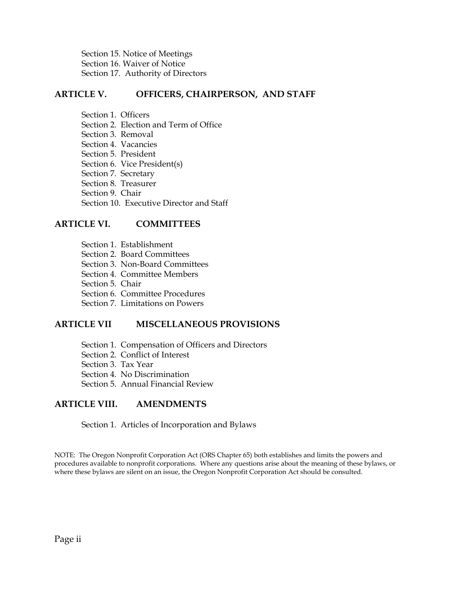Section 15. Notice of Meetings Section 16. Waiver of Notice Section 17. Authority of Directors

### **ARTICLE V. OFFICERS, CHAIRPERSON, AND STAFF**

Section 1. Officers Section 2. Election and Term of Office Section 3. Removal Section 4. Vacancies Section 5. President Section 6. Vice President(s) Section 7. Secretary Section 8. Treasurer Section 9. Chair Section 10. Executive Director and Staff

#### **ARTICLE VI. COMMITTEES**

- Section 1. Establishment
- Section 2. Board Committees
- Section 3. Non-Board Committees
- Section 4. Committee Members
- Section 5. Chair
- Section 6. Committee Procedures
- Section 7. Limitations on Powers

#### **ARTICLE VII MISCELLANEOUS PROVISIONS**

- Section 1. Compensation of Officers and Directors
- Section 2. Conflict of Interest
- Section 3. Tax Year
- Section 4. No Discrimination
- Section 5. Annual Financial Review

#### **ARTICLE VIII. AMENDMENTS**

Section 1. Articles of Incorporation and Bylaws

NOTE: The Oregon Nonprofit Corporation Act (ORS Chapter 65) both establishes and limits the powers and procedures available to nonprofit corporations. Where any questions arise about the meaning of these bylaws, or where these bylaws are silent on an issue, the Oregon Nonprofit Corporation Act should be consulted.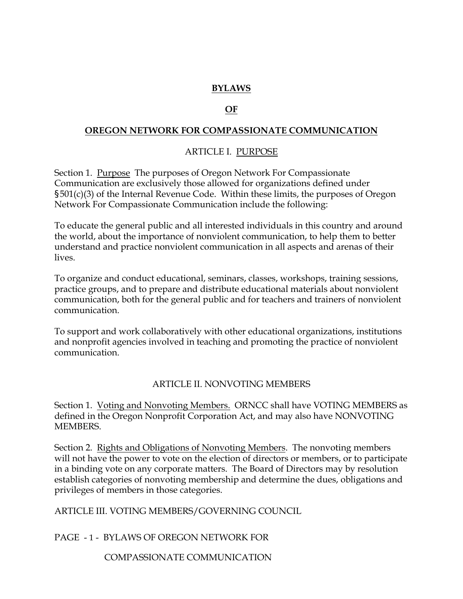# **BYLAWS**

### *OF*

### **OREGON NETWORK FOR COMPASSIONATE COMMUNICATION**

## ARTICLE I. PURPOSE

Section 1. Purpose The purposes of Oregon Network For Compassionate Communication are exclusively those allowed for organizations defined under §501(c)(3) of the Internal Revenue Code. Within these limits, the purposes of Oregon Network For Compassionate Communication include the following:

To educate the general public and all interested individuals in this country and around the world, about the importance of nonviolent communication, to help them to better understand and practice nonviolent communication in all aspects and arenas of their lives.

To organize and conduct educational, seminars, classes, workshops, training sessions, practice groups, and to prepare and distribute educational materials about nonviolent communication, both for the general public and for teachers and trainers of nonviolent communication.

To support and work collaboratively with other educational organizations, institutions and nonprofit agencies involved in teaching and promoting the practice of nonviolent communication.

#### ARTICLE II. NONVOTING MEMBERS

Section 1. Voting and Nonvoting Members. ORNCC shall have VOTING MEMBERS as defined in the Oregon Nonprofit Corporation Act, and may also have NONVOTING MEMBERS.

Section 2. Rights and Obligations of Nonvoting Members. The nonvoting members will not have the power to vote on the election of directors or members, or to participate in a binding vote on any corporate matters. The Board of Directors may by resolution establish categories of nonvoting membership and determine the dues, obligations and privileges of members in those categories.

#### ARTICLE III. VOTING MEMBERS/GOVERNING COUNCIL

PAGE - 1 - BYLAWS OF OREGON NETWORK FOR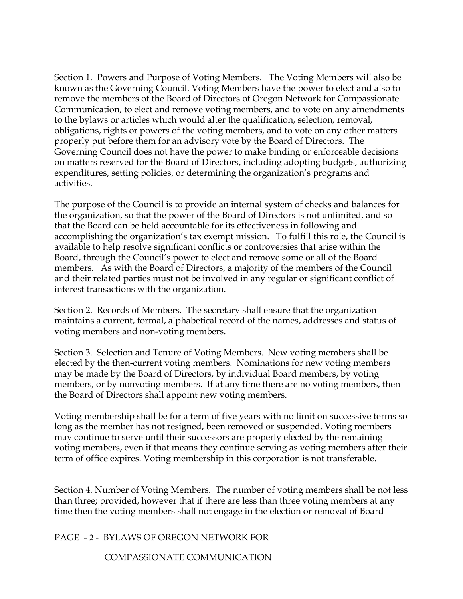Section 1. Powers and Purpose of Voting Members. The Voting Members will also be known as the Governing Council. Voting Members have the power to elect and also to remove the members of the Board of Directors of Oregon Network for Compassionate Communication, to elect and remove voting members, and to vote on any amendments to the bylaws or articles which would alter the qualification, selection, removal, obligations, rights or powers of the voting members, and to vote on any other matters properly put before them for an advisory vote by the Board of Directors. The Governing Council does not have the power to make binding or enforceable decisions on matters reserved for the Board of Directors, including adopting budgets, authorizing expenditures, setting policies, or determining the organization's programs and activities.

The purpose of the Council is to provide an internal system of checks and balances for the organization, so that the power of the Board of Directors is not unlimited, and so that the Board can be held accountable for its effectiveness in following and accomplishing the organization's tax exempt mission. To fulfill this role, the Council is available to help resolve significant conflicts or controversies that arise within the Board, through the Council's power to elect and remove some or all of the Board members. As with the Board of Directors, a majority of the members of the Council and their related parties must not be involved in any regular or significant conflict of interest transactions with the organization.

Section 2. Records of Members. The secretary shall ensure that the organization maintains a current, formal, alphabetical record of the names, addresses and status of voting members and non-voting members.

Section 3. Selection and Tenure of Voting Members. New voting members shall be elected by the then-current voting members. Nominations for new voting members may be made by the Board of Directors, by individual Board members, by voting members, or by nonvoting members. If at any time there are no voting members, then the Board of Directors shall appoint new voting members.

Voting membership shall be for a term of five years with no limit on successive terms so long as the member has not resigned, been removed or suspended. Voting members may continue to serve until their successors are properly elected by the remaining voting members, even if that means they continue serving as voting members after their term of office expires. Voting membership in this corporation is not transferable.

Section 4. Number of Voting Members. The number of voting members shall be not less than three; provided, however that if there are less than three voting members at any time then the voting members shall not engage in the election or removal of Board

PAGE - 2 - BYLAWS OF OREGON NETWORK FOR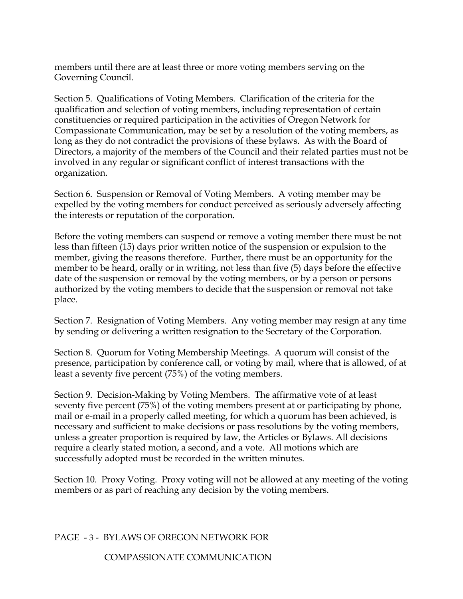members until there are at least three or more voting members serving on the Governing Council.

Section 5. Qualifications of Voting Members. Clarification of the criteria for the qualification and selection of voting members, including representation of certain constituencies or required participation in the activities of Oregon Network for Compassionate Communication, may be set by a resolution of the voting members, as long as they do not contradict the provisions of these bylaws. As with the Board of Directors, a majority of the members of the Council and their related parties must not be involved in any regular or significant conflict of interest transactions with the organization.

Section 6. Suspension or Removal of Voting Members. A voting member may be expelled by the voting members for conduct perceived as seriously adversely affecting the interests or reputation of the corporation.

Before the voting members can suspend or remove a voting member there must be not less than fifteen (15) days prior written notice of the suspension or expulsion to the member, giving the reasons therefore. Further, there must be an opportunity for the member to be heard, orally or in writing, not less than five (5) days before the effective date of the suspension or removal by the voting members, or by a person or persons authorized by the voting members to decide that the suspension or removal not take place.

Section 7. Resignation of Voting Members. Any voting member may resign at any time by sending or delivering a written resignation to the Secretary of the Corporation.

Section 8. Quorum for Voting Membership Meetings. A quorum will consist of the presence, participation by conference call, or voting by mail, where that is allowed, of at least a seventy five percent (75%) of the voting members.

Section 9. Decision-Making by Voting Members. The affirmative vote of at least seventy five percent (75%) of the voting members present at or participating by phone, mail or e-mail in a properly called meeting, for which a quorum has been achieved, is necessary and sufficient to make decisions or pass resolutions by the voting members, unless a greater proportion is required by law, the Articles or Bylaws. All decisions require a clearly stated motion, a second, and a vote. All motions which are successfully adopted must be recorded in the written minutes.

Section 10. Proxy Voting. Proxy voting will not be allowed at any meeting of the voting members or as part of reaching any decision by the voting members.

## PAGE - 3 - BYLAWS OF OREGON NETWORK FOR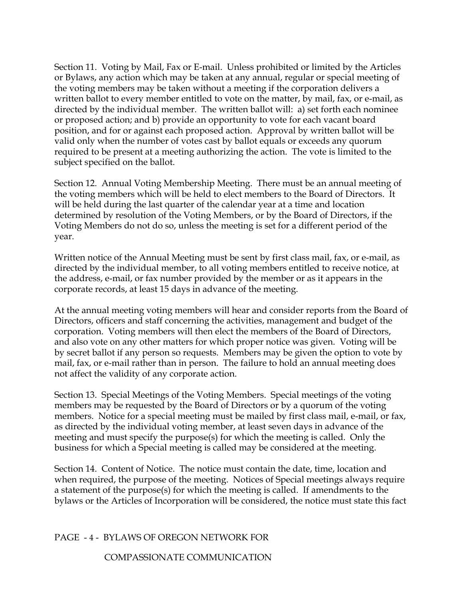Section 11. Voting by Mail, Fax or E-mail. Unless prohibited or limited by the Articles or Bylaws, any action which may be taken at any annual, regular or special meeting of the voting members may be taken without a meeting if the corporation delivers a written ballot to every member entitled to vote on the matter, by mail, fax, or e-mail, as directed by the individual member. The written ballot will: a) set forth each nominee or proposed action; and b) provide an opportunity to vote for each vacant board position, and for or against each proposed action. Approval by written ballot will be valid only when the number of votes cast by ballot equals or exceeds any quorum required to be present at a meeting authorizing the action. The vote is limited to the subject specified on the ballot.

Section 12. Annual Voting Membership Meeting. There must be an annual meeting of the voting members which will be held to elect members to the Board of Directors. It will be held during the last quarter of the calendar year at a time and location determined by resolution of the Voting Members, or by the Board of Directors, if the Voting Members do not do so, unless the meeting is set for a different period of the year.

Written notice of the Annual Meeting must be sent by first class mail, fax, or e-mail, as directed by the individual member, to all voting members entitled to receive notice, at the address, e-mail, or fax number provided by the member or as it appears in the corporate records, at least 15 days in advance of the meeting.

At the annual meeting voting members will hear and consider reports from the Board of Directors, officers and staff concerning the activities, management and budget of the corporation. Voting members will then elect the members of the Board of Directors, and also vote on any other matters for which proper notice was given. Voting will be by secret ballot if any person so requests. Members may be given the option to vote by mail, fax, or e-mail rather than in person. The failure to hold an annual meeting does not affect the validity of any corporate action.

Section 13. Special Meetings of the Voting Members. Special meetings of the voting members may be requested by the Board of Directors or by a quorum of the voting members. Notice for a special meeting must be mailed by first class mail, e-mail, or fax, as directed by the individual voting member, at least seven days in advance of the meeting and must specify the purpose(s) for which the meeting is called. Only the business for which a Special meeting is called may be considered at the meeting.

Section 14. Content of Notice. The notice must contain the date, time, location and when required, the purpose of the meeting. Notices of Special meetings always require a statement of the purpose(s) for which the meeting is called. If amendments to the bylaws or the Articles of Incorporation will be considered, the notice must state this fact

## PAGE - 4 - BYLAWS OF OREGON NETWORK FOR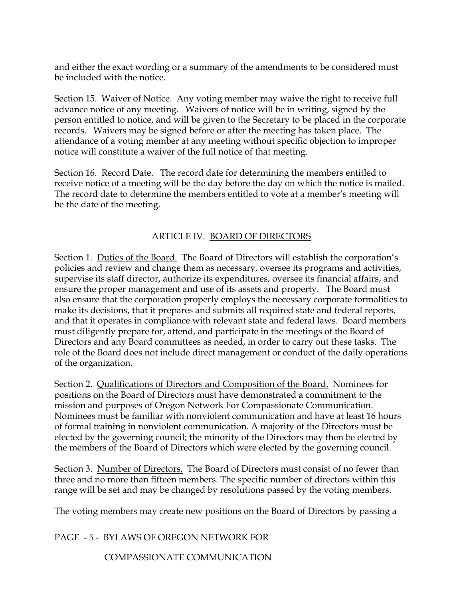and either the exact wording or a summary of the amendments to be considered must be included with the notice.

Section 15. Waiver of Notice. Any voting member may waive the right to receive full advance notice of any meeting. Waivers of notice will be in writing, signed by the person entitled to notice, and will be given to the Secretary to be placed in the corporate records. Waivers may be signed before or after the meeting has taken place. The attendance of a voting member at any meeting without specific objection to improper notice will constitute a waiver of the full notice of that meeting.

Section 16. Record Date. The record date for determining the members entitled to receive notice of a meeting will be the day before the day on which the notice is mailed. The record date to determine the members entitled to vote at a member's meeting will be the date of the meeting.

## ARTICLE IV. BOARD OF DIRECTORS

Section 1. Duties of the Board. The Board of Directors will establish the corporation's policies and review and change them as necessary, oversee its programs and activities, supervise its staff director, authorize its expenditures, oversee its financial affairs, and ensure the proper management and use of its assets and property. The Board must also ensure that the corporation properly employs the necessary corporate formalities to make its decisions, that it prepares and submits all required state and federal reports, and that it operates in compliance with relevant state and federal laws. Board members must diligently prepare for, attend, and participate in the meetings of the Board of Directors and any Board committees as needed, in order to carry out these tasks. The role of the Board does not include direct management or conduct of the daily operations of the organization.

Section 2. Qualifications of Directors and Composition of the Board. Nominees for positions on the Board of Directors must have demonstrated a commitment to the mission and purposes of Oregon Network For Compassionate Communication. Nominees must be familiar with nonviolent communication and have at least 16 hours of formal training in nonviolent communication. A majority of the Directors must be elected by the governing council; the minority of the Directors may then be elected by the members of the Board of Directors which were elected by the governing council.

Section 3. Number of Directors. The Board of Directors must consist of no fewer than three and no more than fifteen members. The specific number of directors within this range will be set and may be changed by resolutions passed by the voting members.

The voting members may create new positions on the Board of Directors by passing a

PAGE - 5 - BYLAWS OF OREGON NETWORK FOR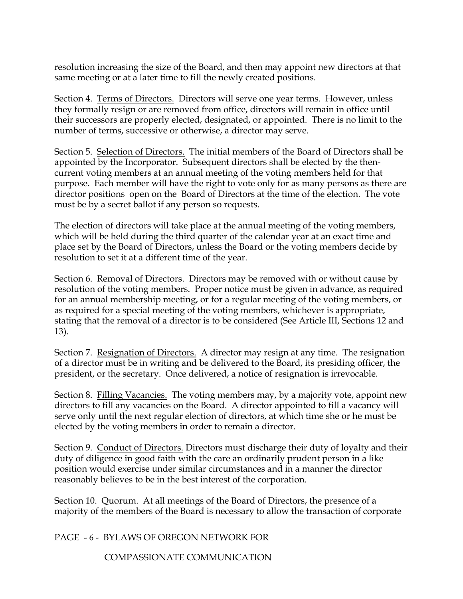resolution increasing the size of the Board, and then may appoint new directors at that same meeting or at a later time to fill the newly created positions.

Section 4. Terms of Directors. Directors will serve one year terms. However, unless they formally resign or are removed from office, directors will remain in office until their successors are properly elected, designated, or appointed. There is no limit to the number of terms, successive or otherwise, a director may serve.

Section 5. Selection of Directors. The initial members of the Board of Directors shall be appointed by the Incorporator. Subsequent directors shall be elected by the thencurrent voting members at an annual meeting of the voting members held for that purpose. Each member will have the right to vote only for as many persons as there are director positions open on the Board of Directors at the time of the election. The vote must be by a secret ballot if any person so requests.

The election of directors will take place at the annual meeting of the voting members, which will be held during the third quarter of the calendar year at an exact time and place set by the Board of Directors, unless the Board or the voting members decide by resolution to set it at a different time of the year.

Section 6. Removal of Directors. Directors may be removed with or without cause by resolution of the voting members. Proper notice must be given in advance, as required for an annual membership meeting, or for a regular meeting of the voting members, or as required for a special meeting of the voting members, whichever is appropriate, stating that the removal of a director is to be considered (See Article III, Sections 12 and 13).

Section 7. Resignation of Directors. A director may resign at any time. The resignation of a director must be in writing and be delivered to the Board, its presiding officer, the president, or the secretary. Once delivered, a notice of resignation is irrevocable.

Section 8. Filling Vacancies. The voting members may, by a majority vote, appoint new directors to fill any vacancies on the Board. A director appointed to fill a vacancy will serve only until the next regular election of directors, at which time she or he must be elected by the voting members in order to remain a director.

Section 9. Conduct of Directors. Directors must discharge their duty of loyalty and their duty of diligence in good faith with the care an ordinarily prudent person in a like position would exercise under similar circumstances and in a manner the director reasonably believes to be in the best interest of the corporation.

Section 10. Quorum. At all meetings of the Board of Directors, the presence of a majority of the members of the Board is necessary to allow the transaction of corporate

PAGE - 6 - BYLAWS OF OREGON NETWORK FOR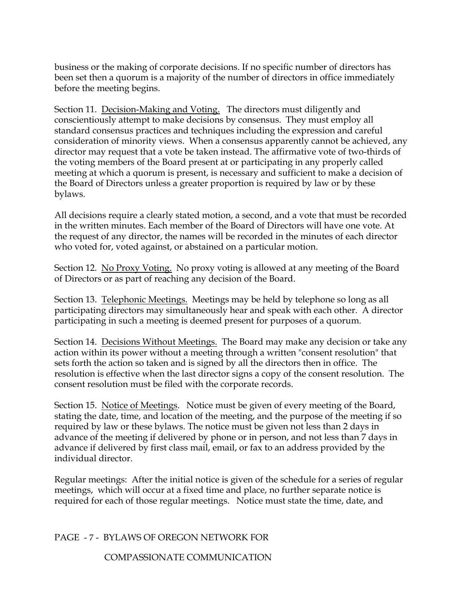business or the making of corporate decisions. If no specific number of directors has been set then a quorum is a majority of the number of directors in office immediately before the meeting begins.

Section 11. Decision-Making and Voting. The directors must diligently and conscientiously attempt to make decisions by consensus. They must employ all standard consensus practices and techniques including the expression and careful consideration of minority views. When a consensus apparently cannot be achieved, any director may request that a vote be taken instead. The affirmative vote of two-thirds of the voting members of the Board present at or participating in any properly called meeting at which a quorum is present, is necessary and sufficient to make a decision of the Board of Directors unless a greater proportion is required by law or by these bylaws.

All decisions require a clearly stated motion, a second, and a vote that must be recorded in the written minutes. Each member of the Board of Directors will have one vote. At the request of any director, the names will be recorded in the minutes of each director who voted for, voted against, or abstained on a particular motion.

Section 12. No Proxy Voting. No proxy voting is allowed at any meeting of the Board of Directors or as part of reaching any decision of the Board.

Section 13. Telephonic Meetings. Meetings may be held by telephone so long as all participating directors may simultaneously hear and speak with each other. A director participating in such a meeting is deemed present for purposes of a quorum.

Section 14. Decisions Without Meetings. The Board may make any decision or take any action within its power without a meeting through a written "consent resolution" that sets forth the action so taken and is signed by all the directors then in office. The resolution is effective when the last director signs a copy of the consent resolution. The consent resolution must be filed with the corporate records.

Section 15. Notice of Meetings. Notice must be given of every meeting of the Board, stating the date, time, and location of the meeting, and the purpose of the meeting if so required by law or these bylaws. The notice must be given not less than 2 days in advance of the meeting if delivered by phone or in person, and not less than 7 days in advance if delivered by first class mail, email, or fax to an address provided by the individual director.

Regular meetings: After the initial notice is given of the schedule for a series of regular meetings, which will occur at a fixed time and place, no further separate notice is required for each of those regular meetings. Notice must state the time, date, and

PAGE - 7 - BYLAWS OF OREGON NETWORK FOR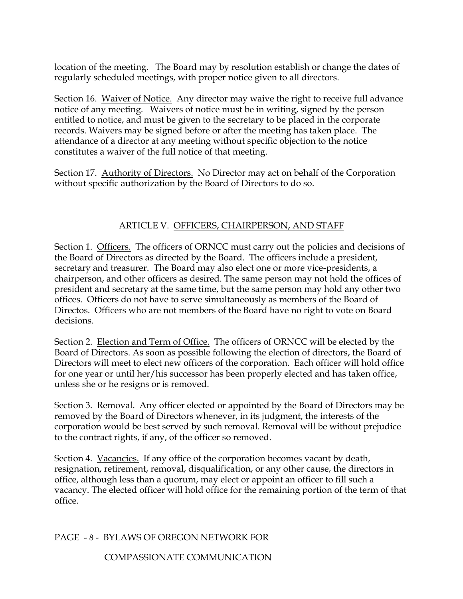location of the meeting. The Board may by resolution establish or change the dates of regularly scheduled meetings, with proper notice given to all directors.

Section 16. Waiver of Notice. Any director may waive the right to receive full advance notice of any meeting. Waivers of notice must be in writing, signed by the person entitled to notice, and must be given to the secretary to be placed in the corporate records. Waivers may be signed before or after the meeting has taken place. The attendance of a director at any meeting without specific objection to the notice constitutes a waiver of the full notice of that meeting.

Section 17. Authority of Directors. No Director may act on behalf of the Corporation without specific authorization by the Board of Directors to do so.

# ARTICLE V. OFFICERS, CHAIRPERSON, AND STAFF

Section 1. Officers. The officers of ORNCC must carry out the policies and decisions of the Board of Directors as directed by the Board. The officers include a president, secretary and treasurer. The Board may also elect one or more vice-presidents, a chairperson, and other officers as desired. The same person may not hold the offices of president and secretary at the same time, but the same person may hold any other two offices. Officers do not have to serve simultaneously as members of the Board of Directos. Officers who are not members of the Board have no right to vote on Board decisions.

Section 2. Election and Term of Office. The officers of ORNCC will be elected by the Board of Directors. As soon as possible following the election of directors, the Board of Directors will meet to elect new officers of the corporation. Each officer will hold office for one year or until her/his successor has been properly elected and has taken office, unless she or he resigns or is removed.

Section 3. Removal. Any officer elected or appointed by the Board of Directors may be removed by the Board of Directors whenever, in its judgment, the interests of the corporation would be best served by such removal. Removal will be without prejudice to the contract rights, if any, of the officer so removed.

Section 4. Vacancies. If any office of the corporation becomes vacant by death, resignation, retirement, removal, disqualification, or any other cause, the directors in office, although less than a quorum, may elect or appoint an officer to fill such a vacancy. The elected officer will hold office for the remaining portion of the term of that office.

PAGE - 8 - BYLAWS OF OREGON NETWORK FOR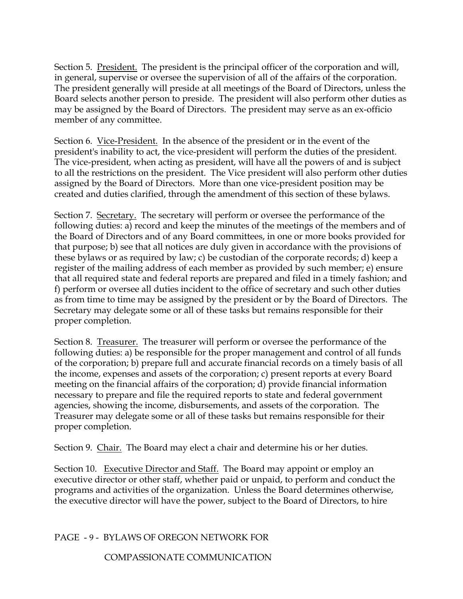Section 5. President. The president is the principal officer of the corporation and will, in general, supervise or oversee the supervision of all of the affairs of the corporation. The president generally will preside at all meetings of the Board of Directors, unless the Board selects another person to preside. The president will also perform other duties as may be assigned by the Board of Directors. The president may serve as an ex-officio member of any committee.

Section 6. Vice-President. In the absence of the president or in the event of the president's inability to act, the vice-president will perform the duties of the president. The vice-president, when acting as president, will have all the powers of and is subject to all the restrictions on the president. The Vice president will also perform other duties assigned by the Board of Directors. More than one vice-president position may be created and duties clarified, through the amendment of this section of these bylaws.

Section 7. Secretary. The secretary will perform or oversee the performance of the following duties: a) record and keep the minutes of the meetings of the members and of the Board of Directors and of any Board committees, in one or more books provided for that purpose; b) see that all notices are duly given in accordance with the provisions of these bylaws or as required by law; c) be custodian of the corporate records; d) keep a register of the mailing address of each member as provided by such member; e) ensure that all required state and federal reports are prepared and filed in a timely fashion; and f) perform or oversee all duties incident to the office of secretary and such other duties as from time to time may be assigned by the president or by the Board of Directors. The Secretary may delegate some or all of these tasks but remains responsible for their proper completion.

Section 8. Treasurer. The treasurer will perform or oversee the performance of the following duties: a) be responsible for the proper management and control of all funds of the corporation; b) prepare full and accurate financial records on a timely basis of all the income, expenses and assets of the corporation; c) present reports at every Board meeting on the financial affairs of the corporation; d) provide financial information necessary to prepare and file the required reports to state and federal government agencies, showing the income, disbursements, and assets of the corporation. The Treasurer may delegate some or all of these tasks but remains responsible for their proper completion.

Section 9. Chair. The Board may elect a chair and determine his or her duties.

Section 10. Executive Director and Staff. The Board may appoint or employ an executive director or other staff, whether paid or unpaid, to perform and conduct the programs and activities of the organization. Unless the Board determines otherwise, the executive director will have the power, subject to the Board of Directors, to hire

PAGE - 9 - BYLAWS OF OREGON NETWORK FOR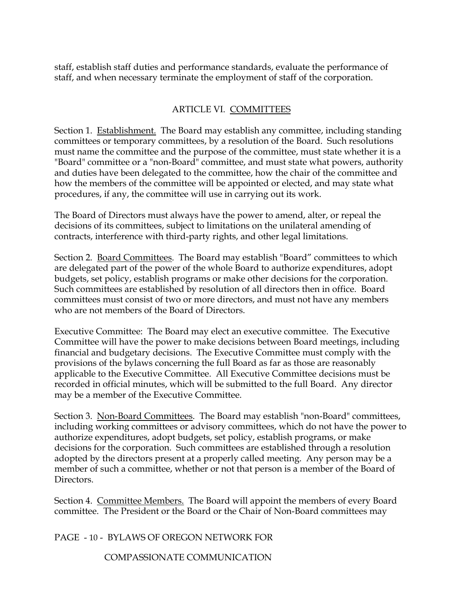staff, establish staff duties and performance standards, evaluate the performance of staff, and when necessary terminate the employment of staff of the corporation.

# ARTICLE VI. COMMITTEES

Section 1. Establishment. The Board may establish any committee, including standing committees or temporary committees, by a resolution of the Board. Such resolutions must name the committee and the purpose of the committee, must state whether it is a "Board" committee or a "non-Board" committee, and must state what powers, authority and duties have been delegated to the committee, how the chair of the committee and how the members of the committee will be appointed or elected, and may state what procedures, if any, the committee will use in carrying out its work.

The Board of Directors must always have the power to amend, alter, or repeal the decisions of its committees, subject to limitations on the unilateral amending of contracts, interference with third-party rights, and other legal limitations.

Section 2. Board Committees. The Board may establish "Board" committees to which are delegated part of the power of the whole Board to authorize expenditures, adopt budgets, set policy, establish programs or make other decisions for the corporation. Such committees are established by resolution of all directors then in office. Board committees must consist of two or more directors, and must not have any members who are not members of the Board of Directors.

Executive Committee: The Board may elect an executive committee. The Executive Committee will have the power to make decisions between Board meetings, including financial and budgetary decisions. The Executive Committee must comply with the provisions of the bylaws concerning the full Board as far as those are reasonably applicable to the Executive Committee. All Executive Committee decisions must be recorded in official minutes, which will be submitted to the full Board. Any director may be a member of the Executive Committee.

Section 3. Non-Board Committees. The Board may establish "non-Board" committees, including working committees or advisory committees, which do not have the power to authorize expenditures, adopt budgets, set policy, establish programs, or make decisions for the corporation. Such committees are established through a resolution adopted by the directors present at a properly called meeting. Any person may be a member of such a committee, whether or not that person is a member of the Board of Directors.

Section 4. Committee Members. The Board will appoint the members of every Board committee. The President or the Board or the Chair of Non-Board committees may

PAGE - 10 - BYLAWS OF OREGON NETWORK FOR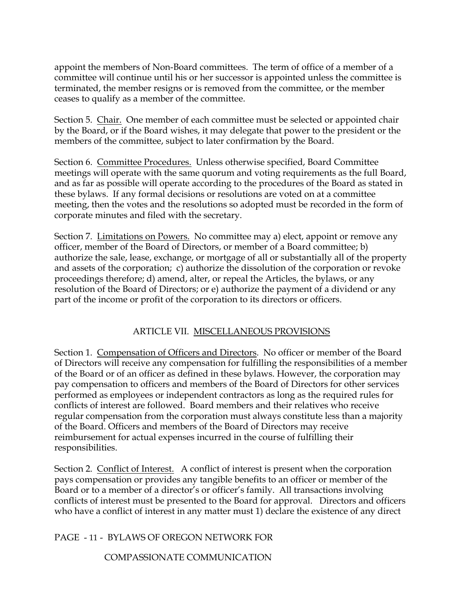appoint the members of Non-Board committees. The term of office of a member of a committee will continue until his or her successor is appointed unless the committee is terminated, the member resigns or is removed from the committee, or the member ceases to qualify as a member of the committee.

Section 5. Chair. One member of each committee must be selected or appointed chair by the Board, or if the Board wishes, it may delegate that power to the president or the members of the committee, subject to later confirmation by the Board.

Section 6. Committee Procedures. Unless otherwise specified, Board Committee meetings will operate with the same quorum and voting requirements as the full Board, and as far as possible will operate according to the procedures of the Board as stated in these bylaws. If any formal decisions or resolutions are voted on at a committee meeting, then the votes and the resolutions so adopted must be recorded in the form of corporate minutes and filed with the secretary.

Section 7. Limitations on Powers. No committee may a) elect, appoint or remove any officer, member of the Board of Directors, or member of a Board committee; b) authorize the sale, lease, exchange, or mortgage of all or substantially all of the property and assets of the corporation; c) authorize the dissolution of the corporation or revoke proceedings therefore; d) amend, alter, or repeal the Articles, the bylaws, or any resolution of the Board of Directors; or e) authorize the payment of a dividend or any part of the income or profit of the corporation to its directors or officers.

# ARTICLE VII. MISCELLANEOUS PROVISIONS

Section 1. Compensation of Officers and Directors. No officer or member of the Board of Directors will receive any compensation for fulfilling the responsibilities of a member of the Board or of an officer as defined in these bylaws. However, the corporation may pay compensation to officers and members of the Board of Directors for other services performed as employees or independent contractors as long as the required rules for conflicts of interest are followed. Board members and their relatives who receive regular compensation from the corporation must always constitute less than a majority of the Board. Officers and members of the Board of Directors may receive reimbursement for actual expenses incurred in the course of fulfilling their responsibilities.

Section 2. Conflict of Interest. A conflict of interest is present when the corporation pays compensation or provides any tangible benefits to an officer or member of the Board or to a member of a director's or officer's family. All transactions involving conflicts of interest must be presented to the Board for approval. Directors and officers who have a conflict of interest in any matter must 1) declare the existence of any direct

PAGE - 11 - BYLAWS OF OREGON NETWORK FOR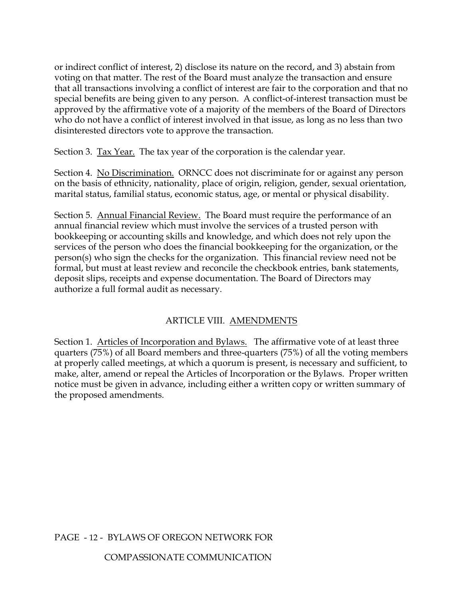or indirect conflict of interest, 2) disclose its nature on the record, and 3) abstain from voting on that matter. The rest of the Board must analyze the transaction and ensure that all transactions involving a conflict of interest are fair to the corporation and that no special benefits are being given to any person. A conflict-of-interest transaction must be approved by the affirmative vote of a majority of the members of the Board of Directors who do not have a conflict of interest involved in that issue, as long as no less than two disinterested directors vote to approve the transaction.

Section 3. <u>Tax Year.</u> The tax year of the corporation is the calendar year.

Section 4. No Discrimination. ORNCC does not discriminate for or against any person on the basis of ethnicity, nationality, place of origin, religion, gender, sexual orientation, marital status, familial status, economic status, age, or mental or physical disability.

Section 5. Annual Financial Review. The Board must require the performance of an annual financial review which must involve the services of a trusted person with bookkeeping or accounting skills and knowledge, and which does not rely upon the services of the person who does the financial bookkeeping for the organization, or the person(s) who sign the checks for the organization. This financial review need not be formal, but must at least review and reconcile the checkbook entries, bank statements, deposit slips, receipts and expense documentation. The Board of Directors may authorize a full formal audit as necessary.

# ARTICLE VIII. AMENDMENTS

Section 1. Articles of Incorporation and Bylaws. The affirmative vote of at least three quarters (75%) of all Board members and three-quarters (75%) of all the voting members at properly called meetings, at which a quorum is present, is necessary and sufficient, to make, alter, amend or repeal the Articles of Incorporation or the Bylaws. Proper written notice must be given in advance, including either a written copy or written summary of the proposed amendments.

## PAGE - 12 - BYLAWS OF OREGON NETWORK FOR